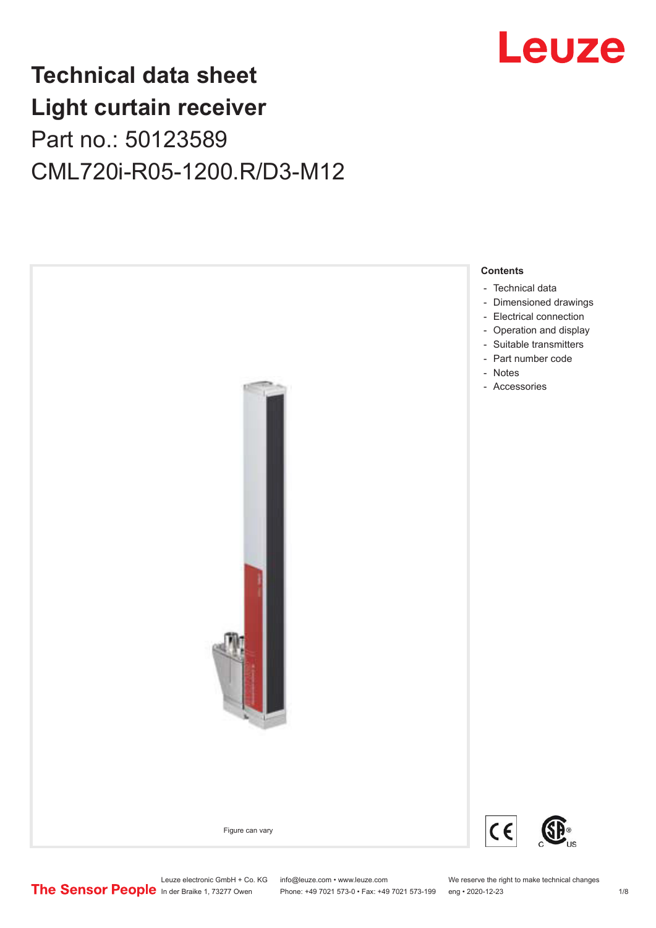

## **Technical data sheet Light curtain receiver** Part no.: 50123589 CML720i-R05-1200.R/D3-M12



Leuze electronic GmbH + Co. KG info@leuze.com • www.leuze.com We reserve the right to make technical changes<br>
The Sensor People in der Braike 1, 73277 Owen Phone: +49 7021 573-0 • Fax: +49 7021 573-199 eng • 2020-12-23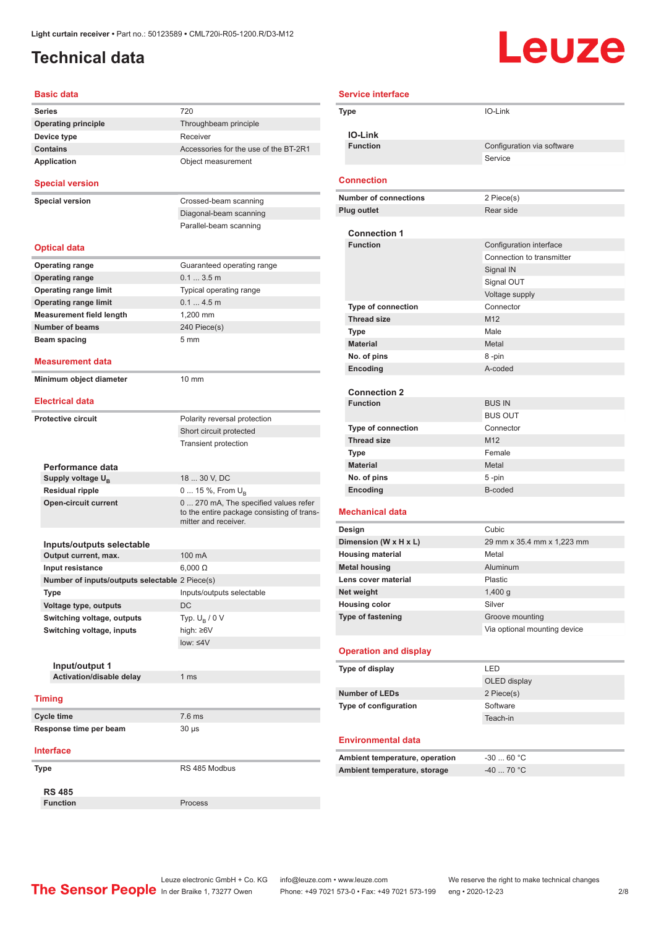### <span id="page-1-0"></span>**Technical data**

# Leuze

| <b>Basic data</b>                                 |                                                                    |
|---------------------------------------------------|--------------------------------------------------------------------|
| <b>Series</b>                                     | 720                                                                |
| <b>Operating principle</b>                        | Throughbeam principle                                              |
| Device type                                       | Receiver                                                           |
| <b>Contains</b>                                   | Accessories for the use of the BT-2R1                              |
| Application                                       | Object measurement                                                 |
| <b>Special version</b>                            |                                                                    |
| <b>Special version</b>                            | Crossed-beam scanning                                              |
|                                                   | Diagonal-beam scanning                                             |
|                                                   | Parallel-beam scanning                                             |
| <b>Optical data</b>                               |                                                                    |
| <b>Operating range</b>                            | Guaranteed operating range                                         |
| <b>Operating range</b>                            | 0.13.5m                                                            |
| <b>Operating range limit</b>                      | Typical operating range                                            |
| <b>Operating range limit</b>                      | 0.14.5m                                                            |
| <b>Measurement field length</b>                   | 1,200 mm                                                           |
| <b>Number of beams</b>                            | 240 Piece(s)                                                       |
| Beam spacing                                      | 5 <sub>mm</sub>                                                    |
|                                                   |                                                                    |
| <b>Measurement data</b>                           |                                                                    |
| Minimum object diameter<br><b>Electrical data</b> | 10 mm                                                              |
|                                                   |                                                                    |
| <b>Protective circuit</b>                         | Polarity reversal protection                                       |
|                                                   | Short circuit protected                                            |
|                                                   | <b>Transient protection</b>                                        |
| Performance data                                  |                                                                    |
| Supply voltage U <sub>B</sub>                     | 18  30 V, DC                                                       |
| <b>Residual ripple</b>                            | 0  15 %, From $U_{\rm B}$                                          |
| <b>Open-circuit current</b>                       | 0  270 mA, The specified values refer                              |
|                                                   | to the entire package consisting of trans-<br>mitter and receiver. |
| Inputs/outputs selectable                         |                                                                    |
| Output current, max.                              | 100 mA                                                             |
| Input resistance                                  | $6,000 \Omega$                                                     |
| Number of inputs/outputs selectable 2 Piece(s)    |                                                                    |
| Type                                              | Inputs/outputs selectable                                          |
|                                                   | <b>DC</b>                                                          |
| Voltage type, outputs                             |                                                                    |
| Switching voltage, outputs                        | Typ. $U_R / 0 V$                                                   |
| Switching voltage, inputs                         | high: ≥6V                                                          |
|                                                   | $low: 4V$                                                          |
|                                                   |                                                                    |
| Input/output 1<br>Activation/disable delay        | 1 ms                                                               |
|                                                   |                                                                    |
| <b>Timing</b>                                     |                                                                    |
| Cycle time                                        | 7.6 ms                                                             |
| Response time per beam                            | $30 \mu s$                                                         |
| <b>Interface</b>                                  |                                                                    |
| Type                                              | RS 485 Modbus                                                      |
| <b>RS 485</b>                                     |                                                                    |
| <b>Function</b>                                   | Process                                                            |

| <b>Service interface</b>                        |                              |
|-------------------------------------------------|------------------------------|
| Type                                            | IO-Link                      |
| <b>IO-Link</b>                                  |                              |
| <b>Function</b>                                 | Configuration via software   |
|                                                 | Service                      |
| <b>Connection</b>                               |                              |
| <b>Number of connections</b>                    | 2 Piece(s)                   |
| <b>Plug outlet</b>                              | Rear side                    |
|                                                 |                              |
| <b>Connection 1</b>                             |                              |
| <b>Function</b>                                 | Configuration interface      |
|                                                 | Connection to transmitter    |
|                                                 | Signal IN                    |
|                                                 | Signal OUT                   |
|                                                 | Voltage supply               |
| <b>Type of connection</b>                       | Connector                    |
| <b>Thread size</b>                              | M <sub>12</sub>              |
| <b>Type</b>                                     | Male                         |
| <b>Material</b>                                 | Metal                        |
| No. of pins                                     | 8-pin                        |
| Encoding                                        | A-coded                      |
|                                                 |                              |
| <b>Connection 2</b><br><b>Function</b>          | <b>BUS IN</b>                |
|                                                 | <b>BUS OUT</b>               |
|                                                 | Connector                    |
| <b>Type of connection</b><br><b>Thread size</b> | M <sub>12</sub>              |
|                                                 | Female                       |
| Type<br><b>Material</b>                         | Metal                        |
| No. of pins                                     | 5-pin                        |
| Encoding                                        | B-coded                      |
|                                                 |                              |
| <b>Mechanical data</b>                          |                              |
| Design                                          | Cubic                        |
| Dimension (W x H x L)                           | 29 mm x 35.4 mm x 1,223 mm   |
| <b>Housing material</b>                         | Metal                        |
| <b>Metal housing</b>                            | Aluminum                     |
| Lens cover material                             | Plastic                      |
| Net weight                                      | 1,400 g                      |
| <b>Housing color</b>                            | Silver                       |
| <b>Type of fastening</b>                        | Groove mounting              |
|                                                 | Via optional mounting device |
| <b>Operation and display</b>                    |                              |
| Type of display                                 | LED                          |
|                                                 | OLED display                 |
| <b>Number of LEDs</b>                           | 2 Piece(s)                   |
| Type of configuration                           | Software                     |
|                                                 | Teach-in                     |
|                                                 |                              |
| <b>Environmental data</b>                       |                              |
| Ambient temperature, operation                  | $-3060 °C$                   |
| Ambient temperature, storage                    | $-40$ 70 °C                  |
|                                                 |                              |

Leuze electronic GmbH + Co. KG info@leuze.com • www.leuze.com We reserve the right to make technical changes In der Braike 1, 73277 Owen Phone: +49 7021 573-0 • Fax: +49 7021 573-199 eng • 2020-12-23 2 /8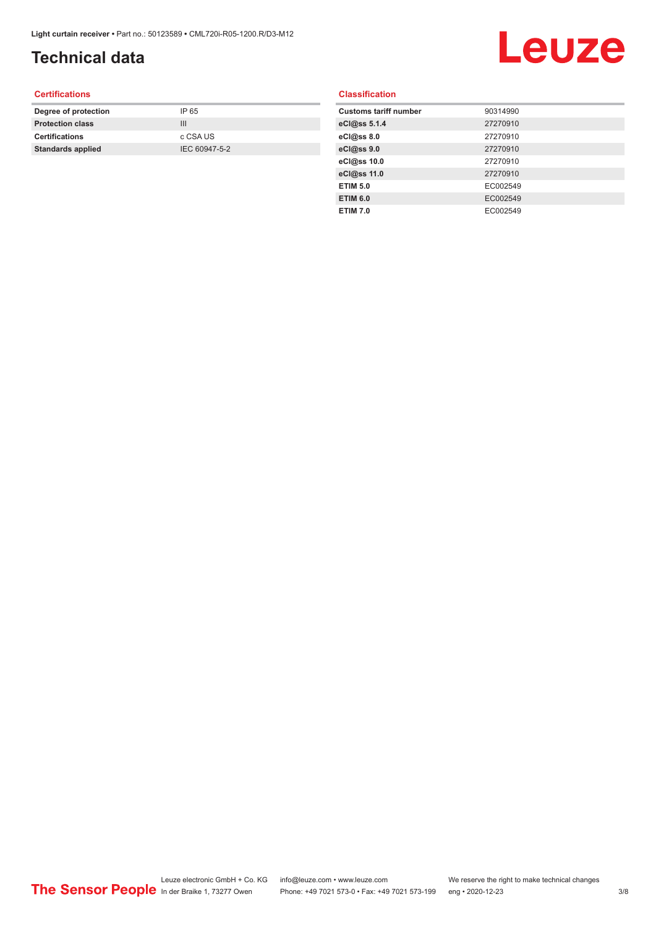### **Technical data**

## Leuze

#### **Certifications**

| Degree of protection     | IP 65         |
|--------------------------|---------------|
| <b>Protection class</b>  | Ш             |
| <b>Certifications</b>    | c CSA US      |
| <b>Standards applied</b> | IEC 60947-5-2 |
|                          |               |

#### **Classification**

| <b>Customs tariff number</b> | 90314990 |
|------------------------------|----------|
| eCl@ss 5.1.4                 | 27270910 |
| eCl@ss 8.0                   | 27270910 |
| eCl@ss 9.0                   | 27270910 |
| eCl@ss 10.0                  | 27270910 |
| eCl@ss 11.0                  | 27270910 |
| <b>ETIM 5.0</b>              | EC002549 |
| <b>ETIM 6.0</b>              | EC002549 |
| <b>ETIM 7.0</b>              | EC002549 |
|                              |          |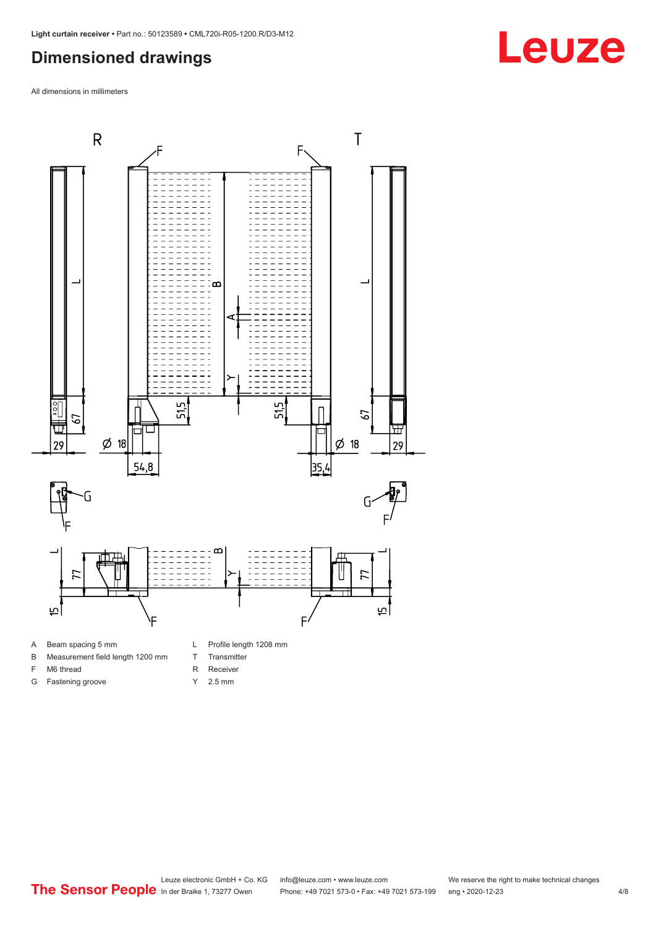#### <span id="page-3-0"></span>**Dimensioned drawings**

All dimensions in millimeters



A Beam spacing 5 mm

G Fastening groove

- B Measurement field length 1200 mm
- F M6 thread
- R Receiver
	- Y 2.5 mm

T Transmitter



**Leuze**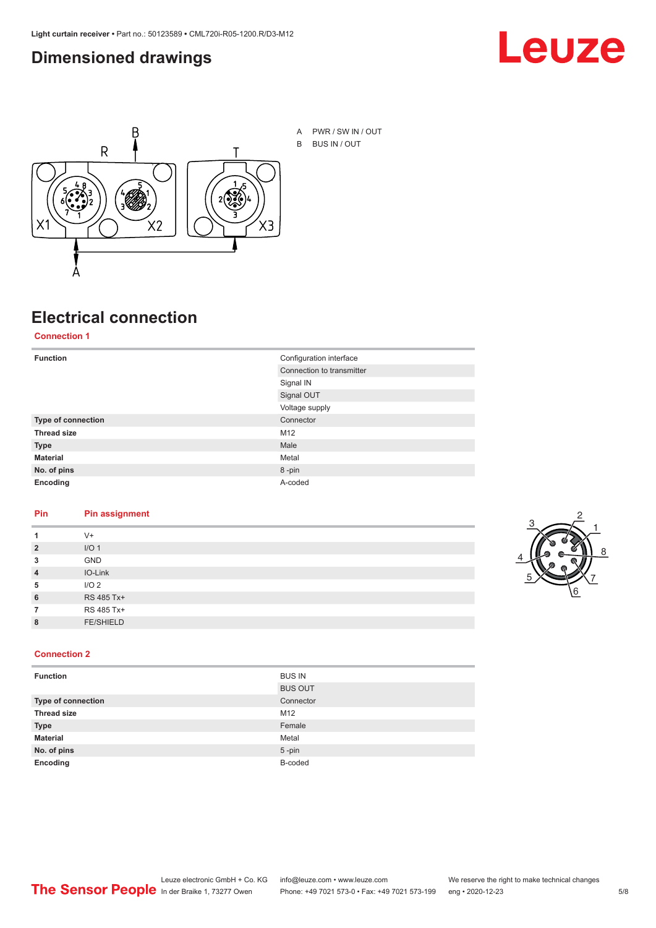#### <span id="page-4-0"></span>**Dimensioned drawings**





A PWR / SW IN / OUT B BUS IN / OUT

### **Electrical connection**

#### **Connection 1**

| <b>Function</b>    | Configuration interface   |
|--------------------|---------------------------|
|                    | Connection to transmitter |
|                    | Signal IN                 |
|                    | Signal OUT                |
|                    | Voltage supply            |
| Type of connection | Connector                 |
| <b>Thread size</b> | M12                       |
| <b>Type</b>        | Male                      |
| <b>Material</b>    | Metal                     |
| No. of pins        | 8-pin                     |
| Encoding           | A-coded                   |

#### **Pin Pin assignment**

|                | $V +$            |  |
|----------------|------------------|--|
| $\overline{2}$ | I/O <sub>1</sub> |  |
| 3              | <b>GND</b>       |  |
| $\overline{4}$ | IO-Link          |  |
| 5              | I/O <sub>2</sub> |  |
| 6              | RS 485 Tx+       |  |
|                | RS 485 Tx+       |  |
| 8              | <b>FE/SHIELD</b> |  |
|                |                  |  |



#### **Connection 2**

| <b>Function</b>    | <b>BUS IN</b>  |
|--------------------|----------------|
|                    | <b>BUS OUT</b> |
| Type of connection | Connector      |
| <b>Thread size</b> | M12            |
| <b>Type</b>        | Female         |
| <b>Material</b>    | Metal          |
| No. of pins        | $5$ -pin       |
| Encoding           | B-coded        |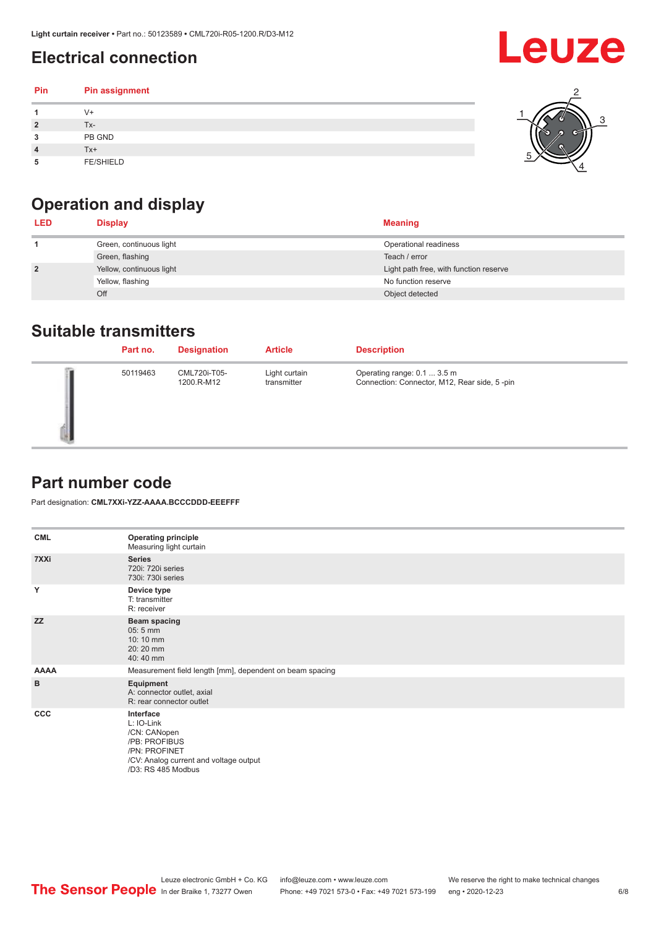### <span id="page-5-0"></span>**Electrical connection**

| Pin | Pin assignment   |  |
|-----|------------------|--|
|     | V+               |  |
| ∍   | Tx-              |  |
| 3   | PB GND           |  |
|     | Tx+              |  |
| 5   | <b>FE/SHIELD</b> |  |

### **Operation and display**

| <b>LED</b>     | <b>Display</b>           | <b>Meaning</b>                         |
|----------------|--------------------------|----------------------------------------|
|                | Green, continuous light  | Operational readiness                  |
|                | Green, flashing          | Teach / error                          |
| $\overline{2}$ | Yellow, continuous light | Light path free, with function reserve |
|                | Yellow, flashing         | No function reserve                    |
|                | Off                      | Object detected                        |

#### **Suitable transmitters**

| Part no. | <b>Designation</b>         | <b>Article</b>               | <b>Description</b>                                                          |
|----------|----------------------------|------------------------------|-----------------------------------------------------------------------------|
| 50119463 | CML720i-T05-<br>1200.R-M12 | Light curtain<br>transmitter | Operating range: 0.1  3.5 m<br>Connection: Connector, M12, Rear side, 5-pin |

#### **Part number code**

Part designation: **CML7XXi-YZZ-AAAA.BCCCDDD-EEEFFF**

| <b>CML</b>  | <b>Operating principle</b><br>Measuring light curtain                                                                                     |
|-------------|-------------------------------------------------------------------------------------------------------------------------------------------|
| 7XXi        | <b>Series</b><br>720i: 720i series<br>730i: 730i series                                                                                   |
| Y           | Device type<br>T: transmitter<br>R: receiver                                                                                              |
| <b>ZZ</b>   | <b>Beam spacing</b><br>$05:5$ mm<br>10:10 mm<br>20:20 mm<br>40:40 mm                                                                      |
| <b>AAAA</b> | Measurement field length [mm], dependent on beam spacing                                                                                  |
| B           | Equipment<br>A: connector outlet, axial<br>R: rear connector outlet                                                                       |
| <b>CCC</b>  | Interface<br>L: IO-Link<br>/CN: CANopen<br>/PB: PROFIBUS<br>/PN: PROFINET<br>/CV: Analog current and voltage output<br>/D3: RS 485 Modbus |

**Leuze**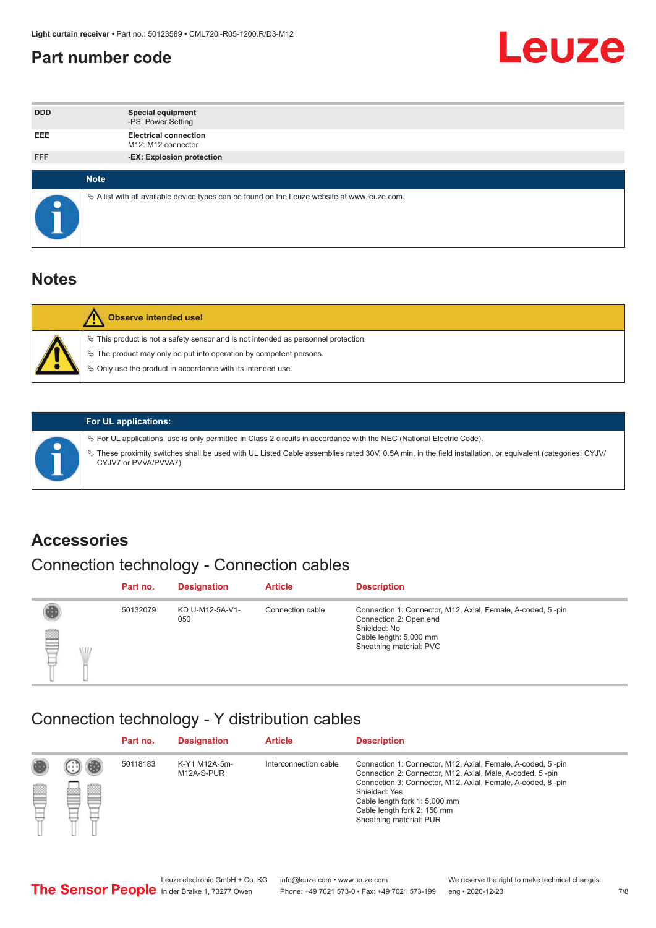#### <span id="page-6-0"></span>**Part number code**



| <b>DDD</b> | <b>Special equipment</b><br>-PS: Power Setting                                                    |
|------------|---------------------------------------------------------------------------------------------------|
| <b>EEE</b> | <b>Electrical connection</b><br>M12: M12 connector                                                |
| <b>FFF</b> | -EX: Explosion protection                                                                         |
|            | <b>Note</b>                                                                                       |
| $\bullet$  | Vector A list with all available device types can be found on the Leuze website at www.leuze.com. |

#### **Notes**

| Observe intended use!                                                                                                                                                                                                            |
|----------------------------------------------------------------------------------------------------------------------------------------------------------------------------------------------------------------------------------|
| $\%$ This product is not a safety sensor and is not intended as personnel protection.<br>$\%$ The product may only be put into operation by competent persons.<br>$\%$ Only use the product in accordance with its intended use. |
|                                                                                                                                                                                                                                  |



#### **For UL applications:**

ª For UL applications, use is only permitted in Class 2 circuits in accordance with the NEC (National Electric Code). ª These proximity switches shall be used with UL Listed Cable assemblies rated 30V, 0.5A min, in the field installation, or equivalent (categories: CYJV/ CYJV7 or PVVA/PVVA7)

#### **Accessories**

### Connection technology - Connection cables

|        | Part no. | <b>Designation</b>     | <b>Article</b>   | <b>Description</b>                                                                                                                                         |
|--------|----------|------------------------|------------------|------------------------------------------------------------------------------------------------------------------------------------------------------------|
| 2<br>W | 50132079 | KD U-M12-5A-V1-<br>050 | Connection cable | Connection 1: Connector, M12, Axial, Female, A-coded, 5-pin<br>Connection 2: Open end<br>Shielded: No<br>Cable length: 5,000 mm<br>Sheathing material: PVC |

#### Connection technology - Y distribution cables

|   |   | Part no. | <b>Designation</b>          | <b>Article</b>        | <b>Description</b>                                                                                                                                                                                                                                                                                  |
|---|---|----------|-----------------------------|-----------------------|-----------------------------------------------------------------------------------------------------------------------------------------------------------------------------------------------------------------------------------------------------------------------------------------------------|
| Ø | ø | 50118183 | K-Y1 M12A-5m-<br>M12A-S-PUR | Interconnection cable | Connection 1: Connector, M12, Axial, Female, A-coded, 5-pin<br>Connection 2: Connector, M12, Axial, Male, A-coded, 5-pin<br>Connection 3: Connector, M12, Axial, Female, A-coded, 8-pin<br>Shielded: Yes<br>Cable length fork 1: 5,000 mm<br>Cable length fork 2: 150 mm<br>Sheathing material: PUR |